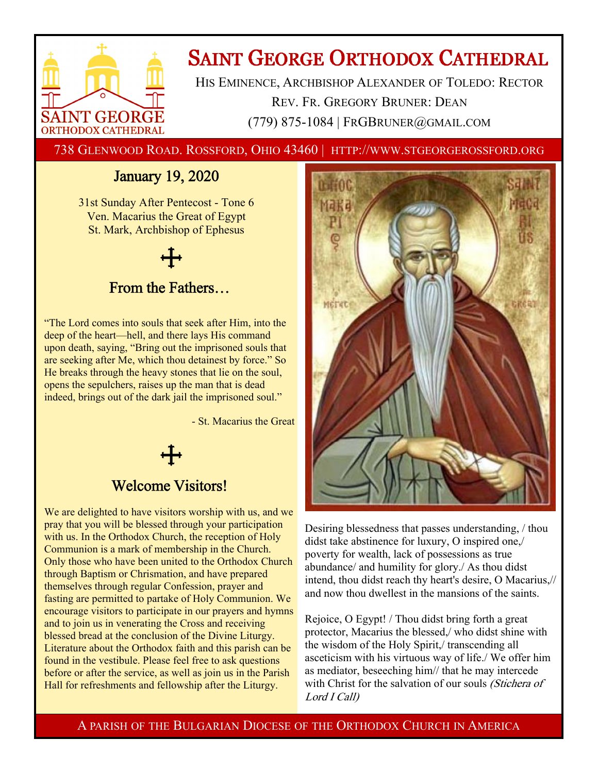

# **SAINT GEORGE ORTHODOX CATHEDRAL**

HIS EMINENCE, ARCHBISHOP ALEXANDER OF TOLEDO: RECTOR REV. FR. GREGORY BRUNER: DEAN (779) 875-1084 | FRGBRUNER@GMAIL.COM

738 GLENWOOD ROAD. ROSSFORD, OHIO 43460 | HTTP://WWW.STGEORGEROSSFORD.ORG

### January 19, 2020

31st Sunday After Pentecost - Tone 6 Ven. Macarius the Great of Egypt St. Mark, Archbishop of Ephesus

## From the Fathers…

"The Lord comes into souls that seek after Him, into the deep of the heart—hell, and there lays His command upon death, saying, "Bring out the imprisoned souls that are seeking after Me, which thou detainest by force." So He breaks through the heavy stones that lie on the soul, opens the sepulchers, raises up the man that is dead indeed, brings out of the dark jail the imprisoned soul."

- St. Macarius the Great

### Welcome Visitors!

We are delighted to have visitors worship with us, and we pray that you will be blessed through your participation with us. In the Orthodox Church, the reception of Holy Communion is a mark of membership in the Church. Only those who have been united to the Orthodox Church through Baptism or Chrismation, and have prepared themselves through regular Confession, prayer and fasting are permitted to partake of Holy Communion. We encourage visitors to participate in our prayers and hymns and to join us in venerating the Cross and receiving blessed bread at the conclusion of the Divine Liturgy. Literature about the Orthodox faith and this parish can be found in the vestibule. Please feel free to ask questions before or after the service, as well as join us in the Parish Hall for refreshments and fellowship after the Liturgy.



Desiring blessedness that passes understanding, / thou didst take abstinence for luxury, O inspired one,/ poverty for wealth, lack of possessions as true abundance/ and humility for glory./ As thou didst intend, thou didst reach thy heart's desire, O Macarius,// and now thou dwellest in the mansions of the saints.

Rejoice, O Egypt! / Thou didst bring forth a great protector, Macarius the blessed,/ who didst shine with the wisdom of the Holy Spirit,/ transcending all asceticism with his virtuous way of life./ We offer him as mediator, beseeching him// that he may intercede with Christ for the salvation of our souls (Stichera of Lord I Call)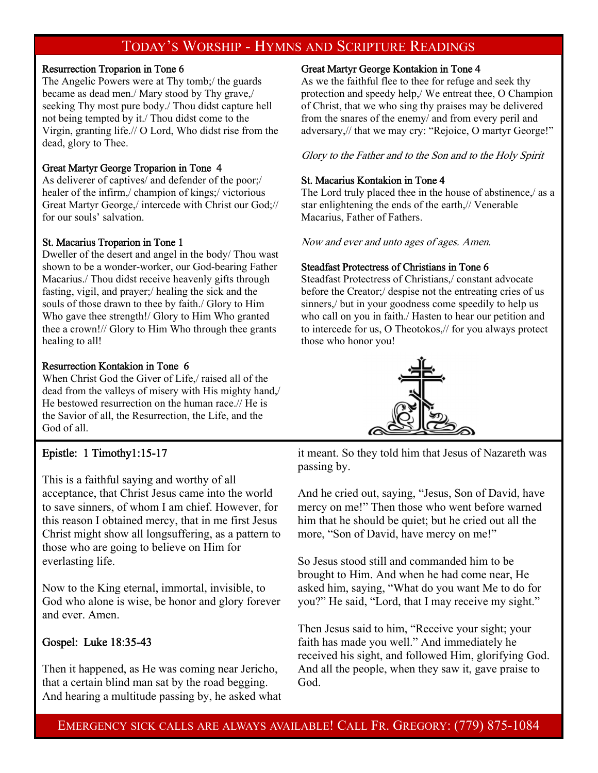### TODAY'S WORSHIP - HYMNS AND SCRIPTURE READINGS

#### Resurrection Troparion in Tone 6

The Angelic Powers were at Thy tomb;/ the guards became as dead men./ Mary stood by Thy grave,/ seeking Thy most pure body./ Thou didst capture hell not being tempted by it./ Thou didst come to the Virgin, granting life.// O Lord, Who didst rise from the dead, glory to Thee.

#### Great Martyr George Troparion in Tone 4

As deliverer of captives/ and defender of the poor;/ healer of the infirm,/ champion of kings;/ victorious Great Martyr George,/ intercede with Christ our God;// for our souls' salvation.

#### St. Macarius Troparion in Tone 1

Dweller of the desert and angel in the body/ Thou wast shown to be a wonder-worker, our God-bearing Father Macarius./ Thou didst receive heavenly gifts through fasting, vigil, and prayer;/ healing the sick and the souls of those drawn to thee by faith./ Glory to Him Who gave thee strength!/ Glory to Him Who granted thee a crown!// Glory to Him Who through thee grants healing to all!

#### Resurrection Kontakion in Tone 6

When Christ God the Giver of Life,/ raised all of the dead from the valleys of misery with His mighty hand,/ He bestowed resurrection on the human race.// He is the Savior of all, the Resurrection, the Life, and the God of all.

### Epistle: 1 Timothy1:15-17

This is a faithful saying and worthy of all acceptance, that Christ Jesus came into the world to save sinners, of whom I am chief. However, for this reason I obtained mercy, that in me first Jesus Christ might show all longsuffering, as a pattern to those who are going to believe on Him for everlasting life.

Now to the King eternal, immortal, invisible, to God who alone is wise, be honor and glory forever and ever. Amen.

### Gospel: Luke 18:35-43

Then it happened, as He was coming near Jericho, that a certain blind man sat by the road begging. And hearing a multitude passing by, he asked what

#### Great Martyr George Kontakion in Tone 4

As we the faithful flee to thee for refuge and seek thy protection and speedy help,/ We entreat thee, O Champion of Christ, that we who sing thy praises may be delivered from the snares of the enemy/ and from every peril and adversary,// that we may cry: "Rejoice, O martyr George!"

Glory to the Father and to the Son and to the Holy Spirit

#### St. Macarius Kontakion in Tone 4

The Lord truly placed thee in the house of abstinence,/ as a star enlightening the ends of the earth,// Venerable Macarius, Father of Fathers.

Now and ever and unto ages of ages. Amen.

#### Steadfast Protectress of Christians in Tone 6

Steadfast Protectress of Christians,/ constant advocate before the Creator;/ despise not the entreating cries of us sinners,/ but in your goodness come speedily to help us who call on you in faith./ Hasten to hear our petition and to intercede for us, O Theotokos,// for you always protect those who honor you!



it meant. So they told him that Jesus of Nazareth was passing by.

And he cried out, saying, "Jesus, Son of David, have mercy on me!" Then those who went before warned him that he should be quiet; but he cried out all the more, "Son of David, have mercy on me!"

So Jesus stood still and commanded him to be brought to Him. And when he had come near, He asked him, saying, "What do you want Me to do for you?" He said, "Lord, that I may receive my sight."

Then Jesus said to him, "Receive your sight; your faith has made you well." And immediately he received his sight, and followed Him, glorifying God. And all the people, when they saw it, gave praise to God.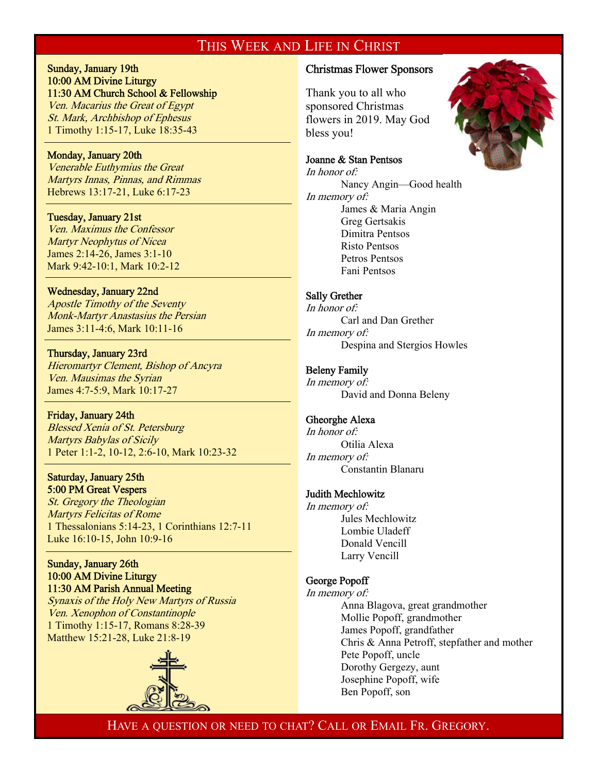### THIS WEEK AND LIFE IN CHRIST

#### Sunday, January 19th 10:00 AM Divine Liturgy 11:30 AM Church School & Fellowship

Ven. Macarius the Great of Egypt St. Mark, Archbishop of Ephesus 1 Timothy 1:15-17, Luke 18:35-43

#### Monday, January 20th

 $\overline{a}$ 

 $\overline{a}$ 

 $\overline{1}$ 

 $\overline{a}$ 

Venerable Euthymius the Great Martyrs Innas, Pinnas, and Rimmas Hebrews 13:17-21, Luke 6:17-23

#### Tuesday, January 21st

Ven. Maximus the Confessor Martyr Neophytus of Nicea James 2:14-26, James 3:1-10 Mark 9:42-10:1, Mark 10:2-12

#### Wednesday, January 22nd

Apostle Timothy of the Seventy Monk-Martyr Anastasius the Persian James 3:11-4:6, Mark 10:11-16

#### Thursday, January 23rd

Hieromartyr Clement, Bishop of Ancyra Ven. Mausimas the Syrian James 4:7-5:9, Mark 10:17-27

#### Friday, January 24th

Blessed Xenia of St. Petersburg Martyrs Babylas of Sicily 1 Peter 1:1-2, 10-12, 2:6-10, Mark 10:23-32

#### Saturday, January 25th 5:00 PM Great Vespers

St. Gregory the Theologian Martyrs Felicitas of Rome 1 Thessalonians 5:14-23, 1 Corinthians 12:7-11 Luke 16:10-15, John 10:9-16

#### Sunday, January 26th 10:00 AM Divine Liturgy 11:30 AM Parish Annual Meeting

Synaxis of the Holy New Martyrs of Russia Ven. Xenophon of Constantinople 1 Timothy 1:15-17, Romans 8:28-39 Matthew 15:21-28, Luke 21:8-19



#### Christmas Flower Sponsors

Thank you to all who sponsored Christmas flowers in 2019. May God bless you!

#### Joanne & Stan Pentsos

In honor of: Nancy Angin—Good health In memory of: James & Maria Angin Greg Gertsakis Dimitra Pentsos Risto Pentsos Petros Pentsos Fani Pentsos

#### Sally Grether

In honor of: Carl and Dan Grether In memory of: Despina and Stergios Howles

#### Beleny Family

In memory of: David and Donna Beleny

#### Gheorghe Alexa

In honor of: Otilia Alexa In memory of: Constantin Blanaru

#### Judith Mechlowitz

In memory of: Jules Mechlowitz Lombie Uladeff Donald Vencill Larry Vencill

#### George Popoff

In memory of: Anna Blagova, great grandmother Mollie Popoff, grandmother James Popoff, grandfather Chris & Anna Petroff, stepfather and mother Pete Popoff, uncle Dorothy Gergezy, aunt Josephine Popoff, wife Ben Popoff, son

HAVE A QUESTION OR NEED TO CHAT? CALL OR EMAIL FR. GREGORY.